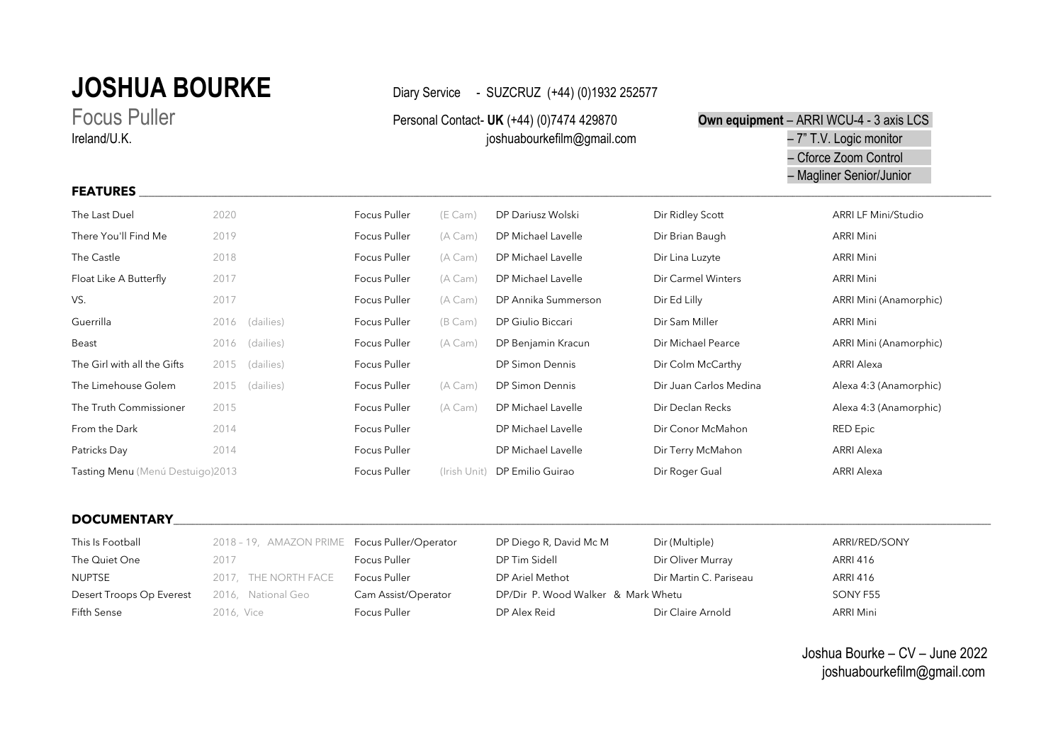# **JOSHUA BOURKE** Diary Service - SUZCRUZ (+44) (0)1932 252577

**FEATURES \_\_\_\_\_\_\_\_\_\_\_\_\_\_\_\_\_\_\_\_\_\_\_\_\_\_\_\_\_\_\_\_\_\_\_\_\_\_\_\_\_\_\_\_\_\_\_\_\_\_\_\_\_\_\_\_\_\_\_\_\_\_\_\_\_\_\_\_\_\_\_\_\_\_\_\_\_\_\_\_\_\_\_\_\_\_\_\_\_\_\_\_\_\_\_\_\_\_\_\_\_\_\_\_\_\_\_\_\_\_\_\_\_\_\_\_\_\_\_\_\_\_\_\_\_\_\_\_\_\_\_\_\_\_\_\_\_\_\_\_\_\_\_\_\_\_\_\_\_\_\_\_\_\_\_\_\_\_\_\_\_\_\_\_\_\_\_\_\_\_\_\_\_\_\_\_\_\_\_\_\_\_\_\_\_\_\_\_\_\_\_\_\_\_\_\_\_\_\_\_\_\_\_\_\_\_\_\_\_\_\_\_\_\_\_\_\_\_\_\_\_\_\_\_\_\_\_\_\_\_\_\_\_\_\_\_\_\_\_\_\_\_\_\_\_\_\_\_\_\_\_\_\_\_\_\_\_\_\_\_\_\_\_\_\_\_\_\_\_\_**

## Focus Puller **Personal Contact- UK** (+44) (0)7474 429870 **Own equipment** – ARRI WCU-4 - 3 axis LCS Ireland/U.K. **Firms and Allen and Allen and Allen and Allen and Allen and Allen and Allen and Allen and T.V. Logic monitor**  – Cforce Zoom Control – Magliner Senior/Junior

| The Last Duel                     | 2020 |           | Focus Puller | (E Cam)      | DP Dariusz Wolski      | Dir Ridley Scott       | <b>ARRI LF Mini/Studio</b> |
|-----------------------------------|------|-----------|--------------|--------------|------------------------|------------------------|----------------------------|
| There You'll Find Me              | 2019 |           | Focus Puller | (A Cam)      | DP Michael Lavelle     | Dir Brian Baugh        | ARRI Mini                  |
| The Castle                        | 2018 |           | Focus Puller | (A Cam)      | DP Michael Lavelle     | Dir Lina Luzyte        | ARRI Mini                  |
| Float Like A Butterfly            | 2017 |           | Focus Puller | (A Cam)      | DP Michael Lavelle     | Dir Carmel Winters     | ARRI Mini                  |
| VS.                               | 2017 |           | Focus Puller | (A Cam)      | DP Annika Summerson    | Dir Ed Lilly           | ARRI Mini (Anamorphic)     |
| Guerrilla                         | 2016 | (dailies) | Focus Puller | (B Cam)      | DP Giulio Biccari      | Dir Sam Miller         | ARRI Mini                  |
| Beast                             | 2016 | (dailies) | Focus Puller | (A Cam)      | DP Benjamin Kracun     | Dir Michael Pearce     | ARRI Mini (Anamorphic)     |
| The Girl with all the Gifts       | 2015 | (dailies) | Focus Puller |              | DP Simon Dennis        | Dir Colm McCarthy      | ARRI Alexa                 |
| The Limehouse Golem               | 2015 | (dailies) | Focus Puller | (A Cam)      | <b>DP Simon Dennis</b> | Dir Juan Carlos Medina | Alexa 4:3 (Anamorphic)     |
| The Truth Commissioner            | 2015 |           | Focus Puller | (A Cam)      | DP Michael Lavelle     | Dir Declan Recks       | Alexa 4:3 (Anamorphic)     |
| From the Dark                     | 2014 |           | Focus Puller |              | DP Michael Lavelle     | Dir Conor McMahon      | <b>RED Epic</b>            |
| Patricks Day                      | 2014 |           | Focus Puller |              | DP Michael Lavelle     | Dir Terry McMahon      | ARRI Alexa                 |
| Tasting Menu (Menú Destuigo) 2013 |      |           | Focus Puller | (Irish Unit) | DP Emilio Guirao       | Dir Roger Gual         | <b>ARRI Alexa</b>          |

### DOCUMENTARY POLICE AND A CONTRACT A CONTRACT A CONTRACT OF A CONTRACT A CONTRACT OF A CONTRACT OF A CONTRACT O

| This Is Football         | 2018 - 19, AMAZON PRIME Focus Puller/Operator |                     | DP Diego R, David Mc M             | Dir (Multiple)         | ARRI/RED/SONY    |
|--------------------------|-----------------------------------------------|---------------------|------------------------------------|------------------------|------------------|
| The Quiet One            | 2017                                          | Focus Puller        | DP Tim Sidell                      | Dir Oliver Murray      | ARRI 416         |
| NUPTSE                   | 2017, THE NORTH FACE                          | Focus Puller        | DP Ariel Methot                    | Dir Martin C. Pariseau | <b>ARRI 416</b>  |
| Desert Troops Op Everest | 2016, National Geo                            | Cam Assist/Operator | DP/Dir P. Wood Walker & Mark Whetu |                        | SONY F55         |
| Fifth Sense              | 2016. Vice                                    | Focus Puller        | DP Alex Reid                       | Dir Claire Arnold      | <b>ARRI Mini</b> |

Joshua Bourke – CV – June 2022 joshuabourkefilm@gmail.com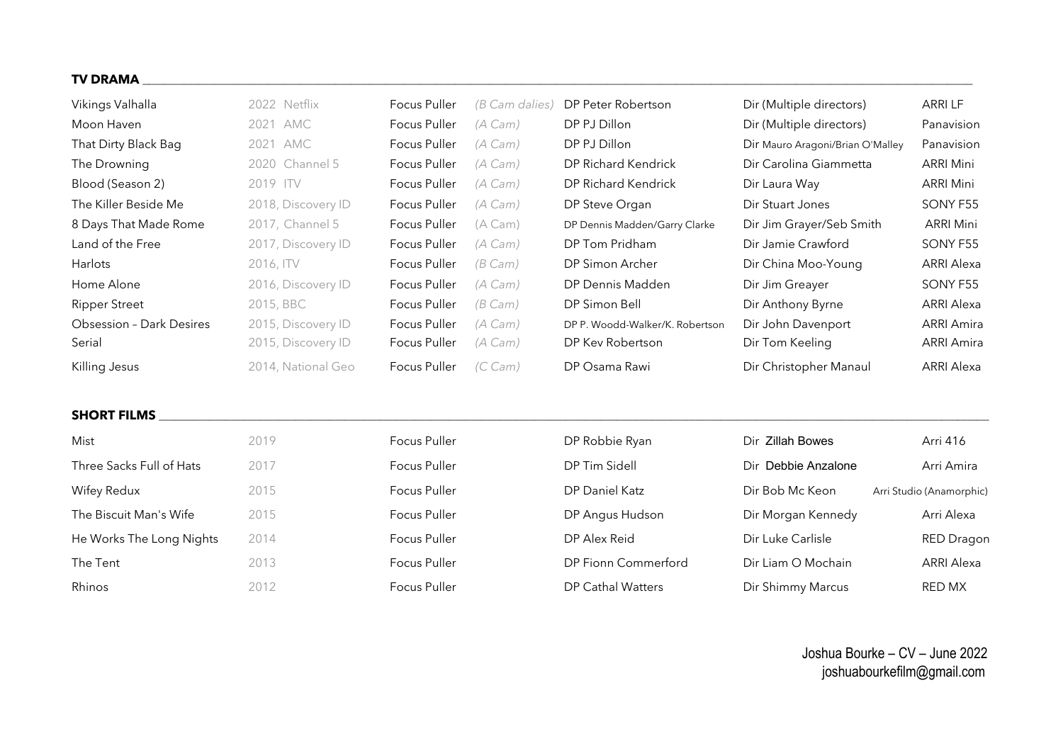#### **TV DRAMA \_\_\_\_\_\_\_\_\_\_\_\_\_\_\_\_\_\_\_\_\_\_\_\_\_\_\_\_\_\_\_\_\_\_\_\_\_\_\_\_\_\_\_\_\_\_\_\_\_\_\_\_\_\_\_\_\_\_\_\_\_\_\_\_\_\_\_\_\_\_\_\_\_\_\_\_\_\_\_\_\_\_\_\_\_\_\_\_\_\_\_\_\_\_\_\_\_\_\_\_\_\_\_\_\_\_\_\_\_\_\_\_\_\_\_\_\_\_\_\_\_\_\_\_\_\_\_\_\_\_\_\_\_\_\_\_\_\_\_\_\_\_\_\_\_\_\_\_\_\_\_\_\_\_\_\_\_\_\_\_\_\_\_\_\_\_\_\_\_\_\_\_\_\_\_\_\_\_\_\_\_\_\_\_\_\_\_\_\_\_\_\_\_\_\_\_\_\_\_\_\_\_\_\_\_\_\_\_\_\_\_\_\_\_\_\_\_\_\_\_\_\_\_\_\_\_\_\_\_\_\_\_\_\_\_\_\_\_\_\_\_\_\_\_\_\_\_\_\_\_\_\_\_\_\_\_\_\_\_\_\_\_\_**

| Vikings Valhalla                | 2022 Netflix       | Focus Puller | (B Cam dalies)   | DP Peter Robertson              | Dir (Multiple directors)         | ARRI LF           |
|---------------------------------|--------------------|--------------|------------------|---------------------------------|----------------------------------|-------------------|
| Moon Haven                      | 2021 AMC           | Focus Puller | $(A \text{Cam})$ | DP PJ Dillon                    | Dir (Multiple directors)         | Panavision        |
| That Dirty Black Bag            | 2021 AMC           | Focus Puller | (A Cam)          | DP PJ Dillon                    | Dir Mauro Aragoni/Brian O'Malley | Panavision        |
| The Drowning                    | 2020 Channel 5     | Focus Puller | (A Cam)          | DP Richard Kendrick             | Dir Carolina Giammetta           | <b>ARRI Mini</b>  |
| Blood (Season 2)                | 2019 ITV           | Focus Puller | (A Cam)          | DP Richard Kendrick             | Dir Laura Way                    | <b>ARRI Mini</b>  |
| The Killer Beside Me            | 2018, Discovery ID | Focus Puller | (A Cam)          | DP Steve Organ                  | Dir Stuart Jones                 | SONY F55          |
| 8 Days That Made Rome           | 2017, Channel 5    | Focus Puller | (A Cam)          | DP Dennis Madden/Garry Clarke   | Dir Jim Grayer/Seb Smith         | <b>ARRI Mini</b>  |
| Land of the Free                | 2017, Discovery ID | Focus Puller | $(A \text{Cam})$ | DP Tom Pridham                  | Dir Jamie Crawford               | SONY F55          |
| <b>Harlots</b>                  | 2016, ITV          | Focus Puller | $(B \text{Cam})$ | DP Simon Archer                 | Dir China Moo-Young              | <b>ARRI Alexa</b> |
| Home Alone                      | 2016, Discovery ID | Focus Puller | $(A \text{Cam})$ | DP Dennis Madden                | Dir Jim Greayer                  | SONY F55          |
| <b>Ripper Street</b>            | 2015, BBC          | Focus Puller | $(B \text{Cam})$ | DP Simon Bell                   | Dir Anthony Byrne                | <b>ARRI Alexa</b> |
| <b>Obsession - Dark Desires</b> | 2015, Discovery ID | Focus Puller | $(A \text{Cam})$ | DP P. Woodd-Walker/K. Robertson | Dir John Davenport               | <b>ARRI Amira</b> |
| Serial                          | 2015, Discovery ID | Focus Puller | (A Cam)          | DP Kev Robertson                | Dir Tom Keeling                  | <b>ARRI Amira</b> |
| Killing Jesus                   | 2014, National Geo | Focus Puller | $(C \text{Cam})$ | DP Osama Rawi                   | Dir Christopher Manaul           | <b>ARRI Alexa</b> |

### **SHORT FILMS**

| Mist                     | 2019 | Focus Puller | DP Robbie Ryan      | Dir Zillah Bowes    | Arri 416                 |
|--------------------------|------|--------------|---------------------|---------------------|--------------------------|
| Three Sacks Full of Hats | 2017 | Focus Puller | DP Tim Sidell       | Dir Debbie Anzalone | Arri Amira               |
| Wifey Redux              | 2015 | Focus Puller | DP Daniel Katz      | Dir Bob Mc Keon     | Arri Studio (Anamorphic) |
| The Biscuit Man's Wife   | 2015 | Focus Puller | DP Angus Hudson     | Dir Morgan Kennedy  | Arri Alexa               |
| He Works The Long Nights | 2014 | Focus Puller | DP Alex Reid        | Dir Luke Carlisle   | <b>RED Dragon</b>        |
| The Tent                 | 2013 | Focus Puller | DP Fionn Commerford | Dir Liam O Mochain  | <b>ARRI Alexa</b>        |
| Rhinos                   | 2012 | Focus Puller | DP Cathal Watters   | Dir Shimmy Marcus   | <b>RED MX</b>            |

Joshua Bourke – CV – June 2022 joshuabourkefilm@gmail.com